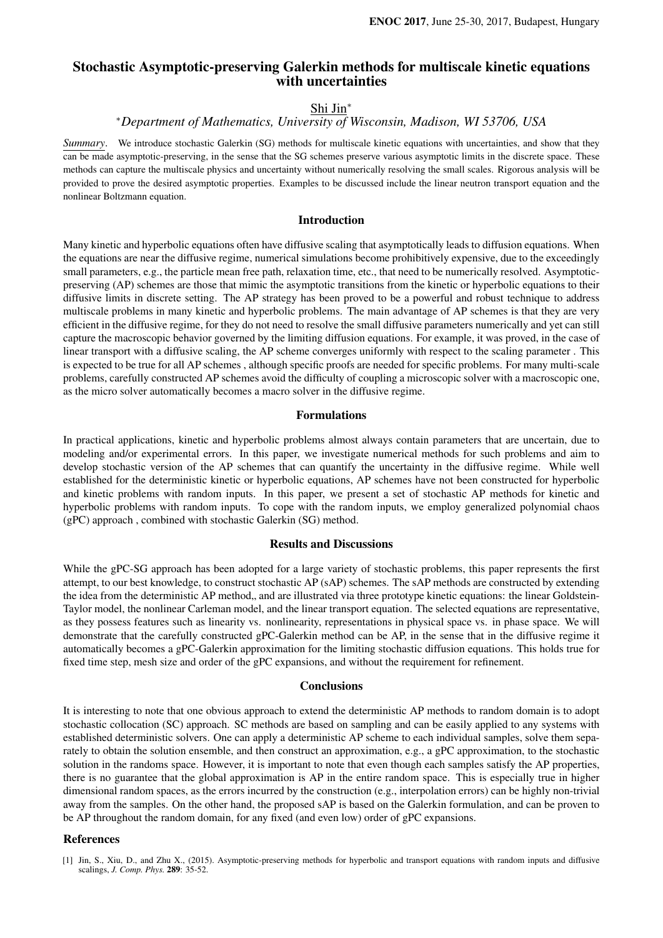# Stochastic Asymptotic-preserving Galerkin methods for multiscale kinetic equations with uncertainties

# Shi Jin<sup>∗</sup>

## <sup>∗</sup>*Department of Mathematics, University of Wisconsin, Madison, WI 53706, USA*

*Summary*. We introduce stochastic Galerkin (SG) methods for multiscale kinetic equations with uncertainties, and show that they can be made asymptotic-preserving, in the sense that the SG schemes preserve various asymptotic limits in the discrete space. These methods can capture the multiscale physics and uncertainty without numerically resolving the small scales. Rigorous analysis will be provided to prove the desired asymptotic properties. Examples to be discussed include the linear neutron transport equation and the nonlinear Boltzmann equation.

## Introduction

Many kinetic and hyperbolic equations often have diffusive scaling that asymptotically leads to diffusion equations. When the equations are near the diffusive regime, numerical simulations become prohibitively expensive, due to the exceedingly small parameters, e.g., the particle mean free path, relaxation time, etc., that need to be numerically resolved. Asymptoticpreserving (AP) schemes are those that mimic the asymptotic transitions from the kinetic or hyperbolic equations to their diffusive limits in discrete setting. The AP strategy has been proved to be a powerful and robust technique to address multiscale problems in many kinetic and hyperbolic problems. The main advantage of AP schemes is that they are very efficient in the diffusive regime, for they do not need to resolve the small diffusive parameters numerically and yet can still capture the macroscopic behavior governed by the limiting diffusion equations. For example, it was proved, in the case of linear transport with a diffusive scaling, the AP scheme converges uniformly with respect to the scaling parameter . This is expected to be true for all AP schemes , although specific proofs are needed for specific problems. For many multi-scale problems, carefully constructed AP schemes avoid the difficulty of coupling a microscopic solver with a macroscopic one, as the micro solver automatically becomes a macro solver in the diffusive regime.

#### Formulations

In practical applications, kinetic and hyperbolic problems almost always contain parameters that are uncertain, due to modeling and/or experimental errors. In this paper, we investigate numerical methods for such problems and aim to develop stochastic version of the AP schemes that can quantify the uncertainty in the diffusive regime. While well established for the deterministic kinetic or hyperbolic equations, AP schemes have not been constructed for hyperbolic and kinetic problems with random inputs. In this paper, we present a set of stochastic AP methods for kinetic and hyperbolic problems with random inputs. To cope with the random inputs, we employ generalized polynomial chaos (gPC) approach , combined with stochastic Galerkin (SG) method.

### Results and Discussions

While the gPC-SG approach has been adopted for a large variety of stochastic problems, this paper represents the first attempt, to our best knowledge, to construct stochastic AP (sAP) schemes. The sAP methods are constructed by extending the idea from the deterministic AP method, and are illustrated via three prototype kinetic equations: the linear Goldstein-Taylor model, the nonlinear Carleman model, and the linear transport equation. The selected equations are representative, as they possess features such as linearity vs. nonlinearity, representations in physical space vs. in phase space. We will demonstrate that the carefully constructed gPC-Galerkin method can be AP, in the sense that in the diffusive regime it automatically becomes a gPC-Galerkin approximation for the limiting stochastic diffusion equations. This holds true for fixed time step, mesh size and order of the gPC expansions, and without the requirement for refinement.

### **Conclusions**

It is interesting to note that one obvious approach to extend the deterministic AP methods to random domain is to adopt stochastic collocation (SC) approach. SC methods are based on sampling and can be easily applied to any systems with established deterministic solvers. One can apply a deterministic AP scheme to each individual samples, solve them separately to obtain the solution ensemble, and then construct an approximation, e.g., a gPC approximation, to the stochastic solution in the randoms space. However, it is important to note that even though each samples satisfy the AP properties, there is no guarantee that the global approximation is AP in the entire random space. This is especially true in higher dimensional random spaces, as the errors incurred by the construction (e.g., interpolation errors) can be highly non-trivial away from the samples. On the other hand, the proposed sAP is based on the Galerkin formulation, and can be proven to be AP throughout the random domain, for any fixed (and even low) order of gPC expansions.

## References

<sup>[1]</sup> Jin, S., Xiu, D., and Zhu X., (2015). Asymptotic-preserving methods for hyperbolic and transport equations with random inputs and diffusive scalings, *J. Comp. Phys.* 289: 35-52.